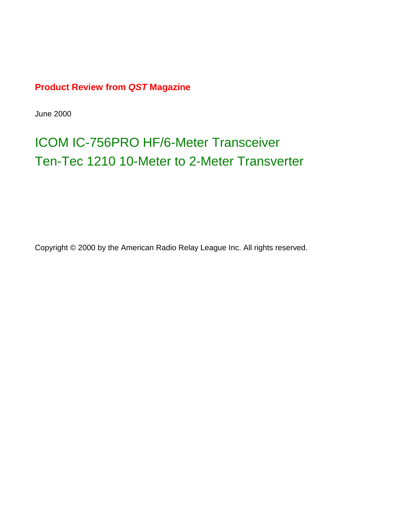### **Product Review from** *QST* **Magazine**

June 2000

# [ICOM IC-756PRO HF/6-Meter Transceiver](#page-1-0) [Ten-Tec 1210 10-Meter to 2-Meter Transverter](#page-7-0)

Copyright © 2000 by the American Radio Relay League Inc. All rights reserved.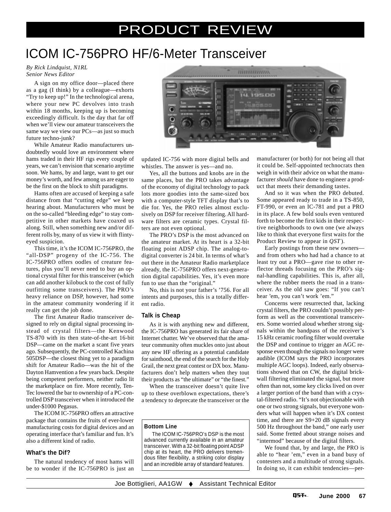## PRODUCT REVIEW

## <span id="page-1-0"></span>ICOM IC-756PRO HF/6-Meter Transceiver

*By Rick Lindquist, N1RL Senior News Editor*

A sign on my office door—placed there as a gag (I think) by a colleague—exhorts "Try to keep up!" In the technological arena, where your new PC devolves into trash within 18 months, keeping up is becoming exceedingly difficult. Is the day that far off when we'll view our amateur transceivers the same way we view our PCs—as just so much future techno-junk?

While Amateur Radio manufacturers undoubtedly would love an environment where hams traded in their HF rigs every couple of years, we can't envision that scenario anytime soon. We hams, by and large, want to get our money's worth, and few among us are eager to be the first on the block to shift paradigms.

Hams often are accused of keeping a safe distance from that "cutting edge" we keep hearing about. Manufacturers who must be on the so-called "bleeding edge" to stay competitive in other markets have coaxed us along. Still, when something new and/or different rolls by, many of us view it with flintyeyed suspicion.

This time, it's the ICOM IC-756PRO, the "all-DSP" progeny of the IC-756. The IC-756PRO offers oodles of creature features, plus you'll never need to buy an optional crystal filter for this transceiver (which can add another kilobuck to the cost of fully outfitting some transceivers). The PRO's heavy reliance on DSP, however, had some in the amateur community wondering if it really can get the job done.

The first Amateur Radio transceiver designed to rely on digital signal processing instead of crystal filters—the Kenwood TS-870 with its then state-of-the-art 16-bit DSP—came on the market a scant five years ago. Subsequently, the PC-controlled Kachina 505DSP—the closest thing yet to a paradigm shift for Amateur Radio—was the hit of the Dayton Hamvention a few years back. Despite being competent performers, neither radio lit the marketplace on fire. More recently, Ten-Tec lowered the bar to ownership of a PC-controlled DSP transceiver when it introduced the under-\$1000 Pegasus.

The ICOM IC-756PRO offers an attractive package that contains the fruits of ever-lower manufacturing costs for digital devices and an operating interface that's familiar and fun. It's also a different kind of radio.

#### **What's the Dif?**

The natural tendency of most hams will be to wonder if the IC-756PRO is just an



updated IC-756 with more digital bells and whistles. The answer is yes—and no.

Yes, all the buttons and knobs are in the same places, but the PRO takes advantage of the economy of digital technology to pack lots more goodies into the same-sized box with a computer-style TFT display that's to die for. Yes, the PRO relies almost exclusively on DSP for receiver filtering. All hardware filters are ceramic types. Crystal filters are not even optional.

The PRO's DSP is the most advanced on the amateur market. At its heart is a 32-bit floating point ADSP chip. The analog-todigital converter is 24 bit. In terms of what's out there in the Amateur Radio marketplace already, the IC-756PRO offers next-generation digital capabilities. Yes, it's even more fun to use than the "original."

No, this is not your father's '756. For all intents and purposes, this is a totally different radio.

#### **Talk is Cheap**

As it is with anything new and different, the IC-756PRO has generated its fair share of Internet chatter. We've observed that the amateur community often muckles onto just about any new HF offering as a potential candidate for sainthood, the end of the search for the Holy Grail, the next great contest or DX box. Manufacturers don't help matters when they tout their products as "the ultimate" or "the finest."

When the transceiver doesn't quite live up to these overblown expectations, there's a tendency to deprecate the transceiver or the

#### **Bottom Line**

The ICOM IC-756PRO's DSP is the most advanced currently available in an amateur transceiver. With a 32-bit floating point ADSP chip at its heart, the PRO delivers tremendous filter flexibility, a striking color display and an incredible array of standard features.

manufacturer (or both) for not being all that it could be. Self-appointed technocrats then weigh in with their advice on what the manufacturer *should* have done to engineer a product that meets their demanding tastes.

And so it was when the PRO debuted. Some appeared ready to trade in a TS-850, FT-990, or even an IC-781 and put a PRO in its place. A few bold souls even ventured forth to become the first kids in their respective neighborhoods to own one (we always like to think that everyone first waits for the Product Review to appear in *QST* ).

Early postings from these new owners and from others who had had a chance to at least try out a PRO—gave rise to other reflector threads focusing on the PRO's signal-handling capabilities. This is, after all, where the rubber meets the road in a transceiver. As the old saw goes: "If you can't hear 'em, you can't work 'em."

Concerns were resurrected that, lacking crystal filters, the PRO couldn't possibly perform as well as the conventional transceivers. Some worried aloud whether strong signals within the bandpass of the receiver's 15 kHz ceramic roofing filter would overtake the DSP and continue to trigger an AGC response even though the signals no longer were audible (ICOM says the PRO incorporates multiple AGC loops). Indeed, early observations showed that on CW, the digital brickwall filtering eliminated the signal, but more often than not, some key clicks lived on over a larger portion of the band than with a crystal-filtered radio. "It's not objectionable with one or two strong signals, but everyone wonders what will happen when it's DX contest time, and there are S9+20 dB signals every 500 Hz throughout the band," one early user said. Some fretted about strange noises and "intermod" because of the digital filters.

We found that, by and large, the PRO is able to "hear 'em," even in a band busy of contesters and a multitude of strong signals. In doing so, it can exhibit tendencies—per-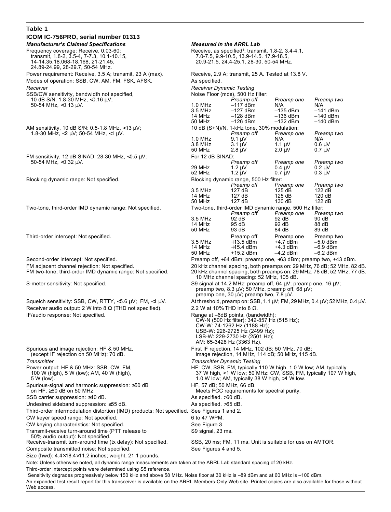| Table 1                                                                                                                                                                                |                                                                                                                                                                                                                    |                                                           |                           |                           |  |
|----------------------------------------------------------------------------------------------------------------------------------------------------------------------------------------|--------------------------------------------------------------------------------------------------------------------------------------------------------------------------------------------------------------------|-----------------------------------------------------------|---------------------------|---------------------------|--|
| ICOM IC-756PRO, serial number 01313                                                                                                                                                    |                                                                                                                                                                                                                    |                                                           |                           |                           |  |
| <b>Manufacturer's Claimed Specifications</b>                                                                                                                                           | <b>Measured in the ARRL Lab</b>                                                                                                                                                                                    |                                                           |                           |                           |  |
| Frequency coverage: Receive, 0.03-60;                                                                                                                                                  | Receive, as specified <sup>1</sup> ; transmit, $1.8-2$ , $3.4-4.1$ ,<br>7.0-7.5, 9.9-10.5, 13.9-14.5. 17.9-18.5,<br>20.9-21.5, 24.4-25.1, 28-30, 50-54 MHz.                                                        |                                                           |                           |                           |  |
| transmit, 1.8-2, 3.5-4, 7-7.3, 10.1-10.15,<br>14-14.35,18.068-18.168, 21-21.45,<br>24.89-24.99, 28-29.7, 50-54 MHz.                                                                    |                                                                                                                                                                                                                    |                                                           |                           |                           |  |
| Power requirement: Receive, 3.5 A; transmit, 23 A (max).<br>Modes of operation: SSB, CW, AM, FM, FSK, AFSK.                                                                            | Receive, 2.9 A; transmit, 25 A. Tested at 13.8 V.<br>As specified.                                                                                                                                                 |                                                           |                           |                           |  |
| Receiver                                                                                                                                                                               | <b>Receiver Dynamic Testing</b>                                                                                                                                                                                    |                                                           |                           |                           |  |
| SSB/CW sensitivity, bandwidth not specified,<br>10 dB S/N: 1.8-30 MHz, $<$ 0.16 $\mu$ V;<br>50-54 MHz, $<$ 0.13 µV.                                                                    |                                                                                                                                                                                                                    | Noise Floor (mds), 500 Hz filter:<br>Preamp off           | Preamp one                | Preamp two                |  |
|                                                                                                                                                                                        | $1.0$ MHz                                                                                                                                                                                                          | $-117$ dBm                                                | N/A                       | N/A                       |  |
|                                                                                                                                                                                        | 3.5 MHz                                                                                                                                                                                                            | $-127$ dBm                                                | $-135$ dBm                | $-141$ dBm                |  |
|                                                                                                                                                                                        | 14 MHz<br>50 MHz                                                                                                                                                                                                   | $-128$ dBm<br>$-126$ dBm                                  | $-136$ dBm<br>$-132$ dBm  | $-140$ dBm<br>$-140$ dBm  |  |
| AM sensitivity, 10 dB S/N: 0.5-1.8 MHz, <13 µV;<br>1.8-30 MHz, <2 $\mu$ V; 50-54 MHz, <1 $\mu$ V.                                                                                      |                                                                                                                                                                                                                    | 10 dB (S+N)/N, 1-kHz tone, 30% modulation:                |                           |                           |  |
|                                                                                                                                                                                        |                                                                                                                                                                                                                    | Preamp off                                                | Preamp one                | Preamp two                |  |
|                                                                                                                                                                                        | $1.0$ MHz<br>3.8 MHz                                                                                                                                                                                               | $9.1 \mu V$<br>$3.1 \mu V$                                | N/A<br>1.1 $\mu$ V        | N/A<br>$0.6 \mu V$        |  |
|                                                                                                                                                                                        | 50 MHz                                                                                                                                                                                                             | $2.8 \mu V$                                               | $2.0 \mu V$               | $0.7 \mu V$               |  |
| FM sensitivity, 12 dB SINAD: $28-30$ MHz, $< 0.5$ $\mu$ V;<br>50-54 MHz, $<$ 0.32 µV.                                                                                                  | For 12 dB SINAD:                                                                                                                                                                                                   |                                                           |                           |                           |  |
|                                                                                                                                                                                        | 29 MHz                                                                                                                                                                                                             | Preamp off<br>$1.2 \mu V$                                 | Preamp one<br>$0.4 \mu V$ | Preamp two<br>$0.2 \mu V$ |  |
|                                                                                                                                                                                        | 52 MHz                                                                                                                                                                                                             | $1.2 \mu V$                                               | $0.7 \mu V$               | $0.3 \mu V$               |  |
| Blocking dynamic range: Not specified.                                                                                                                                                 |                                                                                                                                                                                                                    | Blocking dynamic range, 500 Hz filter:                    |                           |                           |  |
|                                                                                                                                                                                        |                                                                                                                                                                                                                    | Preamp off                                                | Preamp one<br>125dB       | Preamp two                |  |
|                                                                                                                                                                                        | 3.5 MHz<br>14 MHz                                                                                                                                                                                                  | 127 dB<br>127 dB                                          | 125 dB                    | 122 dB<br>120 dB          |  |
|                                                                                                                                                                                        | 50 MHz                                                                                                                                                                                                             | 127 dB                                                    | 130 dB                    | 122 dB                    |  |
| Two-tone, third-order IMD dynamic range: Not specified.                                                                                                                                |                                                                                                                                                                                                                    | Two-tone, third-order IMD dynamic range, 500 Hz filter:   |                           |                           |  |
|                                                                                                                                                                                        | 3.5 MHz                                                                                                                                                                                                            | Preamp off<br>92 dB                                       | Preamp one<br>92 dB       | Preamp two<br>90 dB       |  |
|                                                                                                                                                                                        | 14 MHz                                                                                                                                                                                                             | 95 dB                                                     | 92 dB                     | 88 dB                     |  |
|                                                                                                                                                                                        | 50 MHz                                                                                                                                                                                                             | 93 dB                                                     | 84 dB                     | 89 dB                     |  |
| Third-order intercept: Not specified.                                                                                                                                                  | 3.5 MHz                                                                                                                                                                                                            | Preamp off<br>$+13.5$ dBm                                 | Preamp one<br>+4.7 dBm    | Preamp two<br>$-5.0$ dBm  |  |
|                                                                                                                                                                                        | 14 MHz                                                                                                                                                                                                             | $+15.4$ dBm                                               | $+4.3$ dBm                | $-6.9$ dBm                |  |
|                                                                                                                                                                                        | 50 MHz                                                                                                                                                                                                             | $+15.2$ dBm                                               | $-4.2$ dBm                | $-6.2$ dBm                |  |
| Second-order intercept: Not specified.<br>FM adjacent channel rejection: Not specified.<br>FM two-tone, third-order IMD dynamic range: Not specified.                                  | Preamp off, +64 dBm; preamp one, +63 dBm; preamp two, +43 dBm.<br>20 kHz channel spacing, both preamps on: 29 MHz, 76 dB; 52 MHz, 82 dB.<br>20 kHz channel spacing, both preamps on: 29 MHz, 78 dB; 52 MHz, 77 dB. |                                                           |                           |                           |  |
| S-meter sensitivity: Not specified.                                                                                                                                                    | 10 MHz channel spacing: 52 MHz, 105 dB.<br>S9 signal at 14.2 MHz: preamp off, 64 $\mu$ V; preamp one, 16 $\mu$ V;<br>preamp two, 8.3 $\mu$ V; 50 MHz, preamp off, 68 $\mu$ V;                                      |                                                           |                           |                           |  |
|                                                                                                                                                                                        | preamp one, 30 uV; preamp two, 7.8 uV.                                                                                                                                                                             |                                                           |                           |                           |  |
| Squelch sensitivity: SSB, CW, RTTY, $<$ 5.6 $\mu$ V; FM, $<$ 1 $\mu$ V.                                                                                                                | At threshold, preamp on: SSB, 1.1 $\mu$ V; FM, 29 MHz, 0.4 $\mu$ V; 52 MHz, 0.4 $\mu$ V.                                                                                                                           |                                                           |                           |                           |  |
| Receiver audio output: 2 W into 8 $\Omega$ (THD not specified).                                                                                                                        | 2.2 W at 10% THD into 8 $\Omega$ .                                                                                                                                                                                 |                                                           |                           |                           |  |
| IF/audio response: Not specified.                                                                                                                                                      | Range at -6dB points, (bandwidth):<br>CW-N (500 Hz filter): 342-857 Hz (515 Hz);<br>CW-W: 74-1262 Hz (1188 Hz);<br>USB-W: 226-2725 Hz (2499 Hz);<br>LSB-W: 229-2730 Hz (2501 Hz);<br>AM: 65-3428 Hz (3363 Hz).     |                                                           |                           |                           |  |
| Spurious and image rejection: HF & 50 MHz,<br>(except IF rejection on 50 MHz): 70 dB.                                                                                                  | First IF rejection, 14 MHz, 102 dB; 50 MHz, 70 dB;<br>image rejection, 14 MHz, 114 dB; 50 MHz, 115 dB.                                                                                                             |                                                           |                           |                           |  |
| Transmitter                                                                                                                                                                            | <b>Transmitter Dynamic Testing</b>                                                                                                                                                                                 |                                                           |                           |                           |  |
| Power output: HF & 50 MHz: SSB, CW, FM,<br>100 W (high), 5 W (low); AM, 40 W (high),<br>5 W (low).                                                                                     | HF: CW, SSB, FM, typically 110 W high, 1.0 W low; AM, typically<br>37 W high, >1 W low; 50 MHz: CW, SSB, FM, typically 107 W high,<br>1.0 W low; AM, typically 38 W high, >1 W low.                                |                                                           |                           |                           |  |
| Spurious-signal and harmonic suppression: ≥50 dB<br>on HF, $\geq 60$ dB on 50 MHz.                                                                                                     | HF, 57 dB; 50 MHz, 66 dB.<br>Meets FCC requirements for spectral purity.                                                                                                                                           |                                                           |                           |                           |  |
| SSB carrier suppression: $\geq 40$ dB.                                                                                                                                                 | As specified. >60 dB.                                                                                                                                                                                              |                                                           |                           |                           |  |
| Undesired sideband suppression: ≥55 dB.                                                                                                                                                | As specified. >65 dB.                                                                                                                                                                                              |                                                           |                           |                           |  |
| Third-order intermodulation distortion (IMD) products: Not specified. See Figures 1 and 2.                                                                                             | 6 to 47 WPM.                                                                                                                                                                                                       |                                                           |                           |                           |  |
| CW keyer speed range: Not specified.<br>CW keying characteristics: Not specified.                                                                                                      | See Figure 3.                                                                                                                                                                                                      |                                                           |                           |                           |  |
| Transmit-receive turn-around time (PTT release to<br>50% audio output): Not specified.                                                                                                 | S9 signal, 23 ms.                                                                                                                                                                                                  |                                                           |                           |                           |  |
| Receive-transmit turn-around time (tx delay): Not specified.                                                                                                                           |                                                                                                                                                                                                                    | SSB, 20 ms; FM, 11 ms. Unit is suitable for use on AMTOR. |                           |                           |  |
| Composite transmitted noise: Not specified.                                                                                                                                            | See Figures 4 and 5.                                                                                                                                                                                               |                                                           |                           |                           |  |
| Size (hwd): 4.4×18.4×11.2 inches; weight, 21.1 pounds.                                                                                                                                 |                                                                                                                                                                                                                    |                                                           |                           |                           |  |
| Note: Unless otherwise noted, all dynamic range measurements are taken at the ARRL Lab standard spacing of 20 kHz.<br>Third-order intercept points were determined using S5 reference. |                                                                                                                                                                                                                    |                                                           |                           |                           |  |
| 1Sensitivity degrades progressively below 150 kHz and above 58 MHz. Noise floor at 30 kHz is -89 dBm and at 60 MHz is -100 dBm.                                                        |                                                                                                                                                                                                                    |                                                           |                           |                           |  |
| An expanded test result report for this transceiver is available on the ARRL Members-Only Web site. Printed copies are also available for those without<br>Web access.                 |                                                                                                                                                                                                                    |                                                           |                           |                           |  |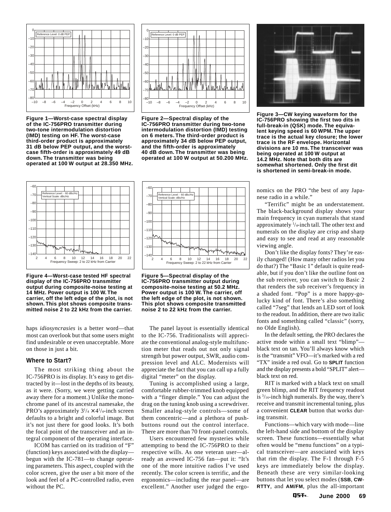

**Figure 1—Worst-case spectral display of the IC-756PRO transmitter during two-tone intermodulation distortion (IMD) testing on HF. The worst-case third-order product is approximately 31 dB below PEP output, and the worstcase fifth-order is approximately 49 dB down. The transmitter was being operated at 100 W output at 28.350 MHz.**



**Figure 2—Spectral display of the IC-756PRO transmitter during two-tone intermodulation distortion (IMD) testing on 6 meters. The third-order product is approximately 34 dB below PEP output, and the fifth-order is approximately 40 dB down. The transmitter was being operated at 100 W output at 50.200 MHz.**



**Figure 4—Worst-case tested HF spectral display of the IC-756PRO transmitter output during composite-noise testing at 14 MHz. Power output is 100 W. The carrier, off the left edge of the plot, is not shown. This plot shows composite transmitted noise 2 to 22 kHz from the carrier.**

haps *idiosyncrasies* is a better word—that most can overlook but that some users might find undesirable or even unacceptable. More on those in just a bit.

#### **Where to Start?**

The most striking thing about the IC-756PRO is its display. It's easy to get distracted by it—lost in the depths of its beauty, as it were. (Sorry, we were getting carried away there for a moment.) Unlike the monochrome panel of its ancestral namesake, the PRO's approximately  $3^{1/4} \times 4^{1/4}$ -inch screen defaults to a bright and colorful image. But it's not just there for good looks. It's both the focal point of the transceiver and an integral component of the operating interface.

ICOM has carried on its tradition of "F" (function) keys associated with the display begun with the IC-781—to change operating parameters. This aspect, coupled with the color screen, give the user a bit more of the look and feel of a PC-controlled radio, even without the PC.



**Figure 5—Spectral display of the IC-756PRO transmitter output during composite-noise testing at 50.2 MHz. Power output is 100 W. The carrier, off the left edge of the plot, is not shown. This plot shows composite transmitted noise 2 to 22 kHz from the carrier.**

The panel layout is essentially identical to the IC-756. Traditionalists will appreciate the conventional analog-style multifunction meter that reads out not only signal strength but power output, SWR, audio compression level and ALC. Modernists will appreciate the fact that you can call up a fully digital "meter" on the display.

Tuning is accomplished using a large, comfortable rubber-trimmed knob equipped with a "finger dimple." You can adjust the drag on the tuning knob using a screwdriver. Smaller analog-style controls—some of them concentric—and a plethora of pushbuttons round out the control interface. There are more than 70 front-panel controls.

Users encountered few mysteries while attempting to bend the IC-756PRO to their respective wills. As one veteran user—already an avowed IC-756 fan—put it: "It's one of the more intuitive radios I've used recently. The color screen is terrific, and the ergonomics—including the rear panel—are excellent." Another user judged the ergo-



**Figure 3—CW keying waveform for the IC-756PRO showing the first two dits in full-break-in (QSK) mode. The equivalent keying speed is 60 WPM. The upper trace is the actual key closure; the lower trace is the RF envelope. Horizontal divisions are 10 ms. The transceiver was being operated at 100 W output at 14.2 MHz. Note that both dits are somewhat shortened. Only the first dit is shortened in semi-break-in mode.**

nomics on the PRO "the best of any Japanese radio in a while."

"Terrific" might be an understatement. The black-background display shows your main frequency in cyan numerals that stand approximately 1 /4-inch tall. The other text and numerals on the display are crisp and sharp and easy to see and read at any reasonable viewing angle.

Don't like the display fonts? They're easily changed! (How many other radios let you do that?) The "Basic 1" default is quite readable, but if you don't like the outline font on the sub receiver, you can switch to Basic 2 that renders the sub receiver's frequency in a shaded font. "Pop" is a more happy-golucky kind of font. There's also something called "7seg" that lends an LED sort of look to the readout. In addition, there are two italic fonts and something called "classic" (sorry, no Olde English).

In the default setting, the PRO declares the active mode within a small text "blimp" black text on tan. You'll always know which is the "transmit" VFO—it's marked with a red "TX" inside a red oval. Go to **SPLIT** function and the display presents a bold "SPLIT" alert black text on red.

RIT is marked with a black text on small green blimp, and the RIT frequency readout is  $\frac{3}{16}$ -inch high numerals. By the way, there's receive and transmit incremental tuning, plus a convenient **CLEAR** button that works during transmit.

Functions—which vary with mode—line the left-hand side and bottom of the display screen. These functions—essentially what often would be "menu functions" on a typical transceiver—are associated with keys that rim the display. The F-1 through F-5 keys are immediately below the display. Beneath these are very similar-looking buttons that let you select modes (**SSB**, **CW**-**RTTY**, and **AM/FM**, plus the all-important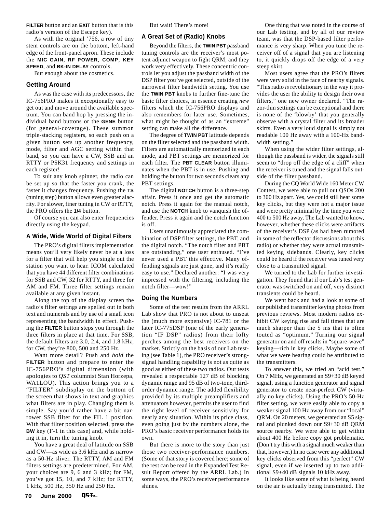**FILTER** button and an **EXIT** button that is this radio's version of the Escape key).

As with the original '756, a row of tiny stem controls are on the bottom, left-hand edge of the front-panel apron. These include the **MIC GAIN**, **RF POWER**, **COMP**, **KEY SPEED**, and **BK-IN DELAY** controls.

But enough about the cosmetics.

#### **Getting Around**

As was the case with its predecessors, the IC-756PRO makes it exceptionally easy to get out and move around the available spectrum. You can band hop by pressing the individual band buttons or the **GENE** button (for general-coverage). These summon triple-stacking registers, so each push on a given button sets up another frequency, mode, filter and AGC setting within that band, so you can have a CW, SSB and an RTTY or PSK31 frequency and settings in each register!

To suit any knob spinner, the radio can be set up so that the faster you crank, the faster it changes frequency. Pushing the **TS** (tuning step) button allows even greater alacrity. For slower, finer tuning in CW or RTTY, the PRO offers the **1/4** button.

Of course you can also enter frequencies directly using the keypad.

#### **A Wide, Wide World of Digital Filters**

The PRO's digital filters implementation means you'll very likely never be at a loss for a filter that will help you single out the station you want to hear. ICOM calculated that you have 44 different filter combinations for SSB and CW, 32 for RTTY, and three for AM and FM. Three filter settings remain available at any given instant.

Along the top of the display screen the radio's filter settings are spelled out in both text and numerals and by use of a small icon representing the bandwidth in effect. Pushing the **FILTER** button steps you through the three filters in place at that time. For SSB, the default filters are 3.0, 2.4, and 1.8 kHz; for CW, they're 800, 500 and 250 Hz.

Want more detail? Push and *hold* the **FILTER** button and prepare to enter the IC-756PRO's digital dimension (with apologies to *QST* columnist Stan Horzepa, WA1LOU). This action brings you to a "FILTER" subdisplay on the bottom of the screen that shows in text and graphics what filters are in play. Changing them is simple. Say you'd rather have a bit narrower SSB filter for the FIL 1 position. With that filter position selected, press the **BW** key (F-1 in this case) and, while holding it in, turn the tuning knob.

You have a great deal of latitude on SSB and CW—as wide as 3.6 kHz and as narrow as a 50-Hz sliver. The RTTY, AM and FM filters settings are predetermined. For AM, your choices are 9, 6 and 3 kHz; for FM, you've got 15, 10, and 7 kHz; for RTTY, 1 kHz, 500 Hz, 350 Hz and 250 Hz.

#### **A Great Set of (Radio) Knobs**

Beyond the filters, the **TWIN PBT** passband tuning controls are the receiver's most potent adjunct weapon to fight QRM, and they work very effectively. These concentric controls let you adjust the passband width of the DSP filter you've got selected, outside of the narrowest filter bandwidth setting. You use the **TWIN PBT** knobs to further fine-tune the basic filter choices, in essence creating *new* filters which the IC-756PRO displays and also remembers for later use. Sometimes, what might be thought of as an "extreme" setting can make all the difference.

The degree of **TWIN PBT** latitude depends on the filter selected and the passband width. Filters are automatically memorized in each mode, and PBT settings are memorized for each filter. The **PBT CLEAR** button illuminates when the PBT is in use. Pushing and holding the button for two seconds clears any PBT settings.

The digital **NOTCH** button is a three-step affair. Press it once and get the automatic notch. Press it again for the manual notch, and use the **NOTCH** knob to vanquish the offender. Press it again and the notch function is off.

Users unanimously appreciated the combination of DSP filter settings, the PBT, and the digital notch. "The notch filter and PBT are outstanding," one user enthused. "I've never used a PBT this effective. Many offending signals are just gone, and it's really easy to use." Declared another: "I was very impressed with the filtering, including the notch filter—wow!"

#### **Doing the Numbers**

Some of the test results from the ARRL Lab show that PRO is not about to unseat the (much more expensive) IC-781 or the later IC-775DSP (one of the early generation "IF DSP" radios) from their lofty perches among the best receivers on the market. Strictly on the basis of our Lab testing (see Table 1), the PRO receiver's strongsignal handling capability is not as quite as good as either of these two radios. Our tests revealed a respectable 127 dB of blocking dynamic range and 95 dB of two-tone, thirdorder dynamic range. The added flexibility provided by its multiple preamplifiers and attenuators however, permits the user to find the right level of receiver sensitivity for nearly any situation. Within its price class, even going just by the numbers alone, the PRO's basic receiver performance holds its own.

But there is more to the story than just those two receiver-performance numbers. (Some of that story is covered here; some of the rest can be read in the Expanded Test Result Report offered by the ARRL Lab.) In some ways, the PRO's receiver performance shines.

One thing that was noted in the course of our Lab testing, and by all of our review team, was that the DSP-based filter performance is very sharp. When you tune the receiver off of a signal that you are listening to, it quickly drops off the edge of a very steep skirt.

Most users agree that the PRO's filters were very solid in the face of nearby signals. "This radio *is* revolutionary in the way it provides the user the ability to design their own filters," one new owner declared. "The razor-thin settings can be exceptional and there is none of the 'blowby' that you generally observe with a crystal filter and its broader skirts. Even a very loud signal is simply not readable 100 Hz away with a 100-Hz bandwidth setting."

When using the wider filter settings, although the passband is wider, the signals still seem to "drop off the edge of a cliff" when the receiver is tuned and the signal falls outside of the filter passband.

During the CQ World Wide 160 Meter CW Contest, we were able to pull out QSOs 200 to 300 Hz apart. Yes, we could still hear some key clicks, but they were not a major issue and were pretty minimal by the time you were 400 to 500 Hz away. The Lab wanted to know, however, whether these clicks were artifacts of the receiver's DSP (as had been rumored in some of the reflector discussions about this radio) or whether they were actual transmitted keying sidebands. Clearly, key clicks could be heard if the receiver was tuned very close to a transmitted signal.

We turned to the Lab for further investigation. They found that if our Lab's test generator was switched on and off, very distinct transients could be heard.

We went back and had a look at some of our published transmitter keying photos from previous reviews. Most modern radios exhibit CW keying rise and fall times that are much sharper than the 5 ms that is often touted as "optimum." Turning our signal generator on and off results in "square-wave" keying—rich in key clicks. Maybe some of what we were hearing could be attributed to the transmitters.

To answer this, we tried an "acid test." On 7 MHz, we generated an S9+30 dB keyed signal, using a function generator and signal generator to create near-perfect CW (virtually no key clicks). Using the PRO's 50-Hz filter setting, we were easily able to copy a weaker signal 100 Hz away from our "local" QRM. On 20 meters, we generated an S5 signal and plunked down our S9+30 dB QRM source nearby. We were able to get within about 400 Hz before copy got problematic. (Don't try this with a signal much weaker than that, however.) In no case were any additional key clicks observed from this "perfect" CW signal, even if we inserted up to two additional S9+40 dB signals 10 kHz away.

It looks like some of what is being heard on the air is actually being transmitted. The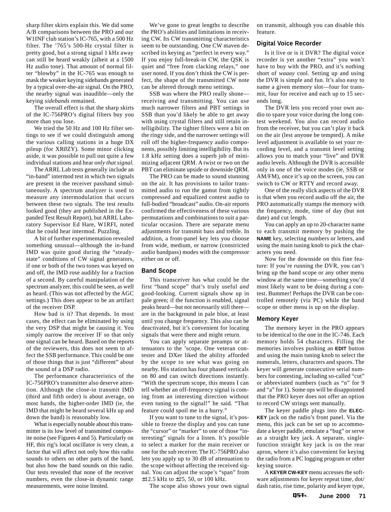sharp filter skirts explain this. We did some A/B comparisons between the PRO and our W1INF club station's IC-765, with a 500 Hz filter. The '765's 500-Hz crystal filter is pretty good, but a strong signal 1 kHz away can still be heard weakly (albeit at a 1500 Hz audio tone). That amount of normal filter "blowby" in the IC-765 was enough to mask the weaker keying sidebands generated by a typical over-the-air signal. On the PRO, the nearby signal was inaudible—only the keying *sidebands* remained.

The overall effect is that the sharp skirts of the IC-756PRO's digital filters buy you more than you lose.

We tried the 50 Hz and 100 Hz filter settings to see if we could distinguish among the various calling stations in a huge DX pileup (for XRØZY). Some minor clicking aside, it was possible to pull out quite a few individual stations and hear *only that signal*.

The ARRL Lab tests generally include an "in-band" intermod test in which two signals are present in the receiver passband simultaneously. A spectrum analyzer is used to measure any intermodulation that occurs between these two signals. The test results looked good (they are published in the Expanded Test Result Report), but ARRL Laboratory Supervisor Ed Hare, W1RFI, noted that he could hear intermod. Puzzling.

A bit of further experimentation revealed something unusual—although the in-band IMD was quite good during the "steadystate" conditions of CW signal generators, if one or both of the two tones was keyed on and off, the IMD rose audibly for a fraction of a second. By careful manipulation of the spectrum analyzer, this could be seen, as well as heard. (This was not affected by the AGC settings.) This does appear to be an artifact of the receiver DSP.

How bad is it? That depends. In most cases, the effect can be eliminated by using the very DSP that might be causing it. You simply narrow the receiver IF so that only one signal can be heard. Based on the reports of the reviewers, this does not seem to affect the SSB performance. This could be one of those things that is just "different" about the sound of a DSP radio.

The performance characteristics of the IC-756PRO's transmitter also deserve attention. Although the close-in transmit IMD (third and fifth order) is about average, on most bands, the higher-order IMD (ie, the IMD that might be heard several kHz up and down the band) is reasonably low.

What is especially notable about this transmitter is its low level of transmitted composite noise (see Figures 4 and 5). Particularly on HF, this rig's local oscillator is very clean, a factor that will affect not only how this radio sounds to others on other parts of the band, but also how the band sounds on this radio. Our tests revealed that none of the receiver numbers, even the close-in dynamic range measurements, were noise limited.

We've gone to great lengths to describe the PRO's abilities and limitations in receiving CW. Its CW transmitting characteristics seem to be outstanding. One CW maven described its keying as "perfect in every way." If you enjoy full-break-in CW, the QSK is quiet and "free from clacking relays," one user noted. If you don't think the CW is perfect, the shape of the transmitted CW note can be altered through menu settings.

SSB was where the PRO really shone receiving *and* transmitting. You can use much narrower filters and PBT settings in SSB than you'd likely be able to get away with using crystal filters and still retain intelligibility. The tighter filters were a bit on the ringy side, and the narrower settings will roll off the higher-frequency audio components, possibly limiting intelligibility. But its 1.8 kHz setting does a superb job of minimizing adjacent QRM. A twist or two on the PBT can eliminate upside or downside QRM.

The PRO can be made to sound stunning on the air. It has provisions to tailor transmitted audio to run the gamut from tightly compressed and equalized contest audio to full-bodied "broadcast" audio. On-air reports confirmed the effectiveness of these various permutations and combinations to suit a particular occasion. There are separate menu adjustments for transmit bass and treble. In addition, a front-panel key lets you choose from wide, medium, or narrow (constricted audio bandpass) modes with the compressor either on or off.

#### **Band Scope**

This transceiver has what could be the first "band scope" that's truly useful *and* good-looking. Current signals show up in pale green; if the function is enabled, signal peaks heard—but not necessarily still there are in the background in pale blue, at least until you change frequency. This also can be deactivated, but it's convenient for locating signals that were there and might return.

You can apply separate preamps or attenuators to the 'scope. One veteran contester and DXer liked the ability afforded by the scope to see what was going on nearby. His station has four phased verticals on 80 and can switch directions instantly. "With the spectrum scope, this means I can tell whether an off-frequency signal is coming from an interesting direction without even tuning to the signal!" he said. "That feature could spoil me in a hurry."

If you want to tune to the signal, it's possible to freeze the display and you can tune the "cursor" or "marker" to one of those "interesting" signals for a listen. It's possible to select a marker for the main receiver or one for the sub receiver. The IC-756PRO also lets you apply up to 30 dB of attenuation to the scope without affecting the received signal. You can adjust the scope's "span" from ±12.5 kHz to ±25, 50, or 100 kHz.

The scope also shows your own signal

on transmit, although you can disable this feature.

#### **Digital Voice Recorder**

Is it live or is it DVR? The digital voice recorder is yet another "extra" you won't have to buy with the PRO, and it's nothing short of *waaay* cool. Setting up and using the DVR is simple and fun. It's also easy to name a given memory slot—four for transmit, four for receive and each up to 15 seconds long.

The DVR lets you record your own audio to spare your voice during the long contest weekend. You also can record audio from the receiver, but you can't play it back on the air (lest anyone be tempted). A mike level adjustment is available to set your recording level, and a transmit level setting allows you to match your "live" and DVR audio levels. Although the DVR is accessible only in one of the voice modes (ie, SSB or AM/FM), once it's up on the screen, you can switch to CW or RTTY and record away.

One of the really slick aspects of the DVR is that when you record audio off the air, the PRO automatically stamps the memory with the frequency, mode, time of day (but not date) and cut length.

You can apply an up to 20-character name to each transmit memory by pushing the **NAME** key, selecting numbers or letters, and using the main tuning knob to pick the characters you need.

Now for the downside on this fine feature: If you're running the DVR, you can't bring up the band scope or any other menu window at the same time—something you'd most likely want to be doing during a contest. Bummer! Perhaps the DVR can be controlled remotely (via PC) while the band scope or other menu is up on the display.

#### **Memory Keyer**

The memory keyer in the PRO appears to be identical to the one in the IC-746. Each memory holds 54 characters. Filling the memories involves pushing an **EDIT** button and using the main tuning knob to select the numerals, letters, characters and spaces. The keyer will generate consecutive serial numbers for contesting, including so-called "cut" or abbreviated numbers (such as "n" for 9 and "a" for 1). Some ops will be disappointed that the PRO keyer does not offer an option to record CW strings sent manually.

The keyer paddle plugs into the **ELEC-KEY** jack on the radio's front panel. Via the menu, this jack can be set up to accommodate a keyer paddle, emulate a "bug" or serve as a straight key jack. A separate, singlefunction straight key jack is on the rear apron, where it's also convenient for keying the radio from a PC logging program or other keying source.

A **KEYER CW-KEY** menu accesses the software adjustments for keyer repeat time, dot/ dash ratio, rise time, polarity and keyer type,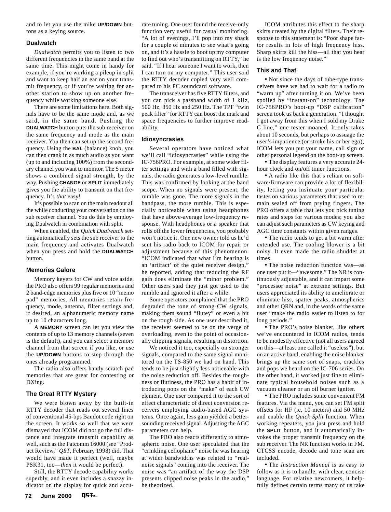and to let you use the mike **UP/DOWN** buttons as a keying source.

#### **Dualwatch**

*Dualwatch* permits you to listen to two different frequencies in the same band at the same time. This might come in handy for example, if you're working a pileup in split and want to keep half an ear on your transmit frequency, or if you're waiting for another station to show up on another frequency while working someone else.

There are some limitations here. Both signals have to be the same mode and, as we said, in the same band. Pushing the **DUALWATCH** button puts the sub receiver on the same frequency and mode as the main receiver. You then can set up the second frequency. Using the **BAL** (balance) knob, you can then crank in as much audio as you want (up to and including 100%) from the secondary channel you want to monitor. The S meter shows a combined signal strength, by the way. Pushing **CHANGE** or **SPLIT** immediately gives you the ability to transmit on that frequency. It's *that* easy!

It's possible to scan on the main readout all the while conducting your conversation on the sub receiver channel. You do this by employing Dualwatch in combination with split.

When enabled, the *Quick Dualwatch* setting automatically sets the sub receiver to the main frequency and activates Dualwatch when you press and hold the **DUALWATCH** button.

#### **Memories Galore**

Memory keyers for CW and voice aside, the PRO also offers 99 regular memories and 2 band-edge memories plus five or 10 "memo pad" memories. All memories retain frequency, mode, antenna, filter settings and, if desired, an alphanumeric memory name up to 10 characters long.

A **MEMORY** screen can let you view the contents of up to 13 memory channels (seven is the default), and you can select a memory channel from that screen if you like, or use the **UP/DOWN** buttons to step through the ones already programmed.

The radio also offers handy scratch pad memories that are great for contesting or DXing.

#### **The Great RTTY Mystery**

We were blown away by the built-in RTTY decoder that reads out several lines of conventional 45-bps Baudot code right on the screen. It works so well that we were dismayed that ICOM did not go the full distance and integrate transmit capability as well, such as the Patcomm 16000 (see "Product Review," *QST*, February 1998) did. That would have made it perfect (well, maybe PSK31, too—*then* it would be perfect).

Still, the RTTY decode capability works superbly, and it even includes a snazzy indicator on the display for quick and accurate tuning. One user found the receive-only function very useful for casual monitoring. "A lot of evenings, I'll pop into my shack for a couple of minutes to see what's going on, and it's a hassle to boot up my computer to find out who's transmitting on RTTY," he said. "If I hear someone I want to work, then I can turn on my computer." This user said the RTTY decoder copied very well compared to his PC soundcard software.

The transceiver has five RTTY filters, and you can pick a passband width of 1 kHz, 500 Hz, 350 Hz and 250 Hz. The TPF "twin peak filter" for RTTY can boost the mark and space frequencies to further improve readability.

#### **Idiosyncrasies**

Several operators have noticed what we'll call "idiosyncrasies" while using the IC-756PRO. For example, at some wider filter settings and with a band filled with signals, the radio generates a low-level rumble. This was confirmed by looking at the band scope. When no signals were present, the rumble was gone. The more signals in the bandpass, the more rumble. This is especially noticeable when using headphones that have above-average low-frequency response. With headphones or a speaker that rolls off the lower frequencies, you probably won't notice it. One new owner told us he'd sent his radio back to ICOM for repair or adjustment because of this phenomenon. "ICOM indicated that what I'm hearing is an 'artifact' of the quiet receiver design," he reported, adding that reducing the RF gain does eliminate the "minor problem." Other users said they just got used to the rumble and ignored it after a while.

Some operators complained that the PRO degraded the tone of strong CW signals, making them sound "flutey" or even a bit on the rough side. As one user described it, the receiver seemed to be on the verge of overloading, even to the point of occasionally clipping signals, resulting in distortion.

We noticed it too, especially on stronger signals, compared to the same signal monitored on the TS-850 we had on hand. This tends to be just slightly less noticeable with the noise reduction off. Besides the roughness or flutiness, the PRO has a habit of introducing pops on the "make" of each CW element. One user compared it to the sort of effect characteristic of direct conversion receivers employing audio-based AGC systems. Once again, less gain yielded a bettersounding received signal. Adjusting the AGC parameters can help.

The PRO also reacts differently to atmospheric noise. One user speculated that the "crinkling cellophane" noise he was hearing at wider bandwidths was related to "realnoise signals" coming into the receiver. The noise was "an artifact of the way the DSP presents clipped noise peaks in the audio," he theorized.

ICOM attributes this effect to the sharp skirts created by the digital filters. Their response to this statement is: "Poor shape factor results in lots of high frequency hiss. Sharp skirts kill the hiss—all that you hear is the low frequency noise."

#### **This and That**

**•** Not since the days of tube-type transceivers have we had to wait for a radio to "warm up" after turning it on. We've been spoiled by "instant-on" technology. The IC-756PRO's boot-up "DSP calibration" screen took us back a generation. "I thought I got away from this when I sold my Drake C line," one tester moaned. It only takes about 10 seconds, but perhaps to assuage the user's impatience (or stroke his or her ego), ICOM lets you put your name, call sign or other personal legend on the boot-up screen.

**•** The display features a very accurate 24 hour clock and on/off timer functions.

**•** A radio like this that's reliant on software/firmware can provide a lot of flexibility, letting you insinuate your particular tastes on various parameters that used to remain sealed off from prying fingers. The PRO offers a table that lets you pick tuning rates and steps for various modes; you also can adjust such parameters as CW keying and AGC time constants within given ranges.

**•** The radio tends to get a bit warm after extended use. The cooling blower is a bit noisy. It even made the radio shudder at times.

**•** The noise reduction function was—as one user put it—"awesome." The NR is continuously adjustable, and it can impart some "processor noise" at extreme settings. But users appreciated its ability to ameliorate or eliminate hiss, spatter peaks, atmospherics and other QRN and, in the words of the same user "make the radio easier to listen to for long periods."

**•** The PRO's noise blanker, like others we've encountered in ICOM radios, tends to be modestly effective (not all users agreed on this—at least one called it "useless"), but on an active band, enabling the noise blanker brings up the same sort of snaps, crackles and pops we heard on the IC-706 series. On the other hand, it worked just fine to eliminate typical household noises such as a vacuum cleaner or an oil burner igniter.

**•** The PRO includes some convenient FM features. Via the menu, you can set FM split offsets for HF (ie, 10 meters) and 50 MHz and enable the *Quick Split* function. When working repeaters, you just press and hold the **SPLIT** button, and it automatically invokes the proper transmit frequency on the sub receiver. The NR function works in FM. CTCSS encode, decode and tone scan are included.

**•** The *Instruction Manual* is as easy to follow as it is to handle, with clear, concise language. For relative newcomers, it helpfully defines certain terms many of us take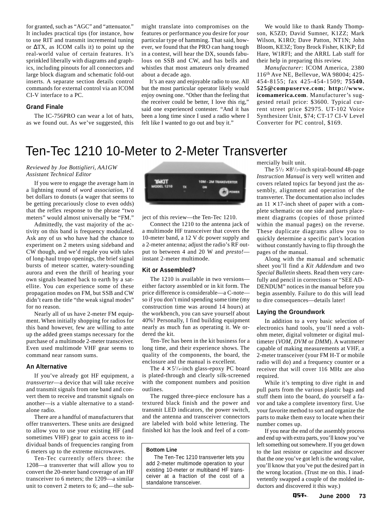<span id="page-7-0"></span>for granted, such as "AGC" and "attenuator." It includes practical tips (for instance, how to use RIT and transmit incremental tuning or ∆TX, as ICOM calls it) to point up the real-world value of certain features. It's sprinkled liberally with diagrams and graphics, including pinouts for all connectors and large block diagram and schematic fold-out inserts. A separate section details control commands for external control via an ICOM CI-V interface to a PC.

#### **Grand Finale**

The IC-756PRO can wear a lot of hats, as we found out. As we've suggested, this might translate into compromises on the features or performance *you* desire for *your* particular type of hamming. That said, however, we found that the PRO can hang tough in a contest, will hear the DX, sounds fabulous on SSB and CW, and has bells and whistles that most amateurs only dreamed about a decade ago.

It's an easy and enjoyable radio to use. All but the most particular operator likely would enjoy owning one. "Other than the feeling that the receiver could be better, I love this rig," said one experienced contester. "And it has been a long time since I used a radio where I felt like I wanted to go out and buy it."

We would like to thank Randy Thompson, K5ZD; David Sumner, K1ZZ; Mark Wilson, K1RO; Dave Patton, NT1N; John Bloom, KE3Z; Tony Brock Fisher, K1KP; Ed Hare, W1RFI; and the ARRL Lab staff for their help in preparing this review.

*Manufacturer*: ICOM America, 2380 116th Ave NE, Bellevue, WA 98004; 425- 454-8155; fax 425-454-1509; **75540. 525@compuserve.com**; **http://www. icomamerica.com**. Manufacturer's suggested retail price: \$3600. Typical current street price \$2975. UT-102 Voice Synthesizer Unit, \$74; CT-17 CI-V Level Converter for PC control, \$169.

### Ten-Tec 1210 10-Meter to 2-Meter Transverter

#### *Reviewed by Joe Bottiglieri, AA1GW Assistant Technical Editor*

If you were to engage the average ham in a lightning round of *word association*, I'd bet dollars to donuts (a wager that seems to be getting precariously close to even odds) that the reflex response to the phrase "two meters" would almost universally be "FM."

Admittedly, the vast majority of the activity on this band is frequency modulated. Ask any of us who have had the chance to experiment on 2 meters using sideband and CW though, and we'd regale you with tales of long-haul tropo openings, the brief signal bursts of meteor scatter, watery-sounding aurora and even the thrill of hearing your own signals beamed back to earth by a satellite. You *can* experience some of these propagation modes on FM, but SSB and CW didn't earn the title "the weak signal modes" for no reason.

Nearly all of us have 2-meter FM equipment. When initially shopping for radios for this band however, few are willing to ante up the added green stamps necessary for the purchase of a multimode 2-meter transceiver. Even used multimode VHF gear seems to command near ransom sums.

#### **An Alternative**

If you've already got HF equipment, a *transverter*—a device that will take receive and transmit signals from one band and convert them to receive and transmit signals on another—is a viable alternative to a standalone radio.

There are a handful of manufacturers that offer transverters. These units are designed to allow you to use your existing HF (and sometimes VHF) gear to gain access to individual bands of frequencies ranging from 6 meters up to the extreme microwaves.

Ten-Tec currently offers three: the 1208—a transverter that will allow you to convert the 20-meter band coverage of an HF transceiver to 6 meters; the 1209—a similar unit to convert 2 meters to 6; and—the sub-



ject of this review—the Ten-Tec 1210.

Connect the 1210 to the antenna jack of a multimode HF transceiver that covers the 10-meter band, a 12 V dc power supply and a 2-meter antenna; adjust the radio's RF output to between 4 and 20 W and *presto!* instant 2-meter multimode.

#### **Kit or Assembled?**

The 1210 is available in two versions either factory assembled or in kit form. The price difference is considerable—a C-note so if you don't mind spending some time (my construction time was around 14 hours) at the workbench, you can save yourself about 40%! Personally, I find building equipment nearly as much fun as operating it. We ordered the kit.

Ten-Tec has been in the kit business for a long time, and their experience shows. The quality of the components, the board, the enclosure and the manual is excellent.

The  $4 \times 5^{1/4}$ -inch glass-epoxy PC board is plated-through and clearly silk-screened with the component numbers and position outlines.

The rugged three-piece enclosure has a textured black finish and the power and transmit LED indicators, the power switch, and the antenna and transceiver connectors are labeled with bold white lettering. The finished kit has the look and feel of a com-

#### **Bottom Line**

The Ten-Tec 1210 transverter lets you add 2-meter multimode operation to your existing 10-meter or multiband HF transceiver at a fraction of the cost of a standalone transceiver.

mercially built unit.

The  $5\frac{1}{2} \times 8\frac{1}{2}$ -inch spiral-bound 48-page *Instruction Manual* is very well written and covers related topics far beyond just the assembly, alignment and operation of the transverter. The documentation also includes an  $11 \times 17$ -inch sheet of paper with a complete schematic on one side and parts placement diagrams (copies of those printed within the manual pages) on the reverse. These duplicate diagrams allow you to quickly determine a specific part's location without constantly having to flip through the pages of the manual.

Along with the manual and schematic sheet you'll find a *Kit Addendum* and two *Special Bulletin* sheets. Read them very carefully and pencil in corrections or "SEE AD-DENDUM" notices in the manual before you begin assembly. Failure to do this will lead to dire consequences—details later!

#### **Laying the Groundwork**

In addition to a very basic selection of electronics hand tools, you'll need a voltohm meter, digital voltmeter or digital multimeter (*VOM*, *DVM* or *DMM*). A wattmeter capable of making measurements at VHF, a 2-meter transceiver (your FM H-T or mobile radio will do) and a frequency counter or a receiver that will cover 116 MHz are also required.

While it's tempting to dive right in and pull parts from the various plastic bags and stuff them into the board, do yourself a favor and take a complete inventory first. Use your favorite method to sort and organize the parts to make them easy to locate when their number comes up.

If you near the end of the assembly process and end up with extra parts, you'll know you've left something out somewhere. If you get down to the last resistor or capacitor and discover that the one you've got left is the wrong value, you'll know that you've put the desired part in the wrong location. (Trust me on this. I inadvertently swapped a couple of the molded inductors and discovered it this way.)